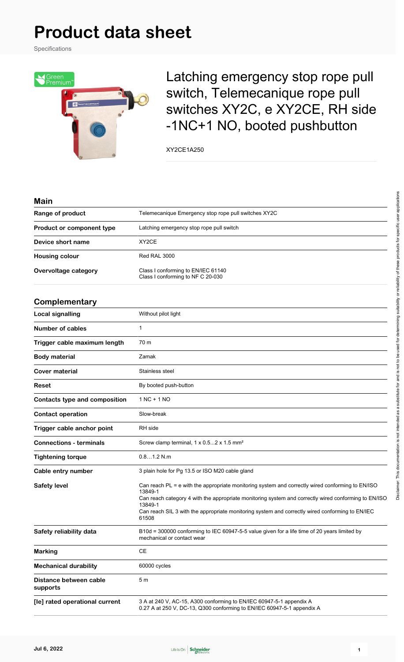# **Product data sheet**

Specifications



Latching emergency stop rope pull switch, Telemecanique rope pull switches XY2C, e XY2CE, RH side -1NC+1 NO, booted pushbutton

XY2CE1A250

#### **Main**

| Range of product                     | Telemecanique Emergency stop rope pull switches XY2C                                                                                                                                                                                                                                                                                       |  |  |  |
|--------------------------------------|--------------------------------------------------------------------------------------------------------------------------------------------------------------------------------------------------------------------------------------------------------------------------------------------------------------------------------------------|--|--|--|
| Product or component type            | Latching emergency stop rope pull switch                                                                                                                                                                                                                                                                                                   |  |  |  |
| Device short name                    | XY2CE                                                                                                                                                                                                                                                                                                                                      |  |  |  |
| <b>Housing colour</b>                | Red RAL 3000                                                                                                                                                                                                                                                                                                                               |  |  |  |
| Overvoltage category                 | Class I conforming to EN/IEC 61140<br>Class I conforming to NF C 20-030                                                                                                                                                                                                                                                                    |  |  |  |
| Complementary                        |                                                                                                                                                                                                                                                                                                                                            |  |  |  |
| <b>Local signalling</b>              | Without pilot light                                                                                                                                                                                                                                                                                                                        |  |  |  |
| <b>Number of cables</b>              | $\mathbf{1}$                                                                                                                                                                                                                                                                                                                               |  |  |  |
| Trigger cable maximum length         | 70 m                                                                                                                                                                                                                                                                                                                                       |  |  |  |
| <b>Body material</b>                 | Zamak                                                                                                                                                                                                                                                                                                                                      |  |  |  |
| <b>Cover material</b>                | Stainless steel                                                                                                                                                                                                                                                                                                                            |  |  |  |
| Reset                                | By booted push-button                                                                                                                                                                                                                                                                                                                      |  |  |  |
| <b>Contacts type and composition</b> | 1 NC + 1 NO                                                                                                                                                                                                                                                                                                                                |  |  |  |
| <b>Contact operation</b>             | Slow-break                                                                                                                                                                                                                                                                                                                                 |  |  |  |
| Trigger cable anchor point           | RH side                                                                                                                                                                                                                                                                                                                                    |  |  |  |
| <b>Connections - terminals</b>       | Screw clamp terminal, 1 x 0.52 x 1.5 mm <sup>2</sup>                                                                                                                                                                                                                                                                                       |  |  |  |
| <b>Tightening torque</b>             | 0.81.2 N.m                                                                                                                                                                                                                                                                                                                                 |  |  |  |
| Cable entry number                   | 3 plain hole for Pg 13.5 or ISO M20 cable gland                                                                                                                                                                                                                                                                                            |  |  |  |
| <b>Safety level</b>                  | Can reach PL = e with the appropriate monitoring system and correctly wired conforming to EN/ISO<br>13849-1<br>Can reach category 4 with the appropriate monitoring system and correctly wired conforming to EN/ISO<br>13849-1<br>Can reach SIL 3 with the appropriate monitoring system and correctly wired conforming to EN/IEC<br>61508 |  |  |  |
| Safety reliability data              | B10d = 300000 conforming to IEC 60947-5-5 value given for a life time of 20 years limited by<br>mechanical or contact wear                                                                                                                                                                                                                 |  |  |  |
| <b>Marking</b>                       | CE                                                                                                                                                                                                                                                                                                                                         |  |  |  |
| <b>Mechanical durability</b>         | 60000 cycles                                                                                                                                                                                                                                                                                                                               |  |  |  |
| Distance between cable<br>supports   | 5 <sub>m</sub>                                                                                                                                                                                                                                                                                                                             |  |  |  |
| [le] rated operational current       | 3 A at 240 V, AC-15, A300 conforming to EN/IEC 60947-5-1 appendix A<br>0.27 A at 250 V, DC-13, Q300 conforming to EN/IEC 60947-5-1 appendix A                                                                                                                                                                                              |  |  |  |

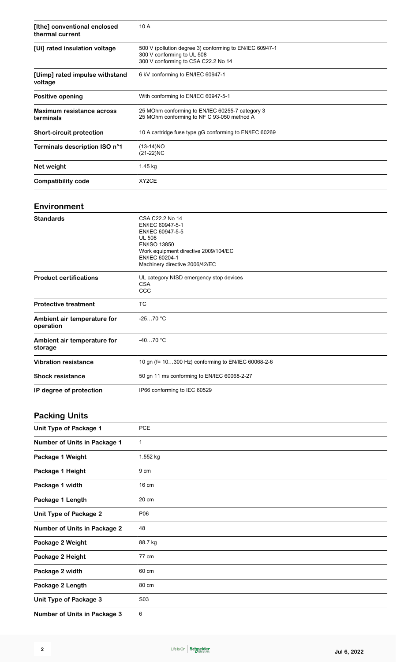| [Ithe] conventional enclosed<br>thermal current | 10 A<br>500 V (pollution degree 3) conforming to EN/IEC 60947-1<br>300 V conforming to UL 508<br>300 V conforming to CSA C22.2 No 14 |  |  |
|-------------------------------------------------|--------------------------------------------------------------------------------------------------------------------------------------|--|--|
| [Ui] rated insulation voltage                   |                                                                                                                                      |  |  |
| [Uimp] rated impulse withstand<br>voltage       | 6 kV conforming to EN/IEC 60947-1                                                                                                    |  |  |
| Positive opening                                | With conforming to EN/IEC 60947-5-1                                                                                                  |  |  |
| <b>Maximum resistance across</b><br>terminals   | 25 MOhm conforming to EN/IEC 60255-7 category 3<br>25 MOhm conforming to NF C 93-050 method A                                        |  |  |
| <b>Short-circuit protection</b>                 | 10 A cartridge fuse type gG conforming to EN/IEC 60269                                                                               |  |  |
| Terminals description ISO n°1                   | $(13-14)NO$<br>$(21-22)NC$                                                                                                           |  |  |
| Net weight                                      | 1.45 kg                                                                                                                              |  |  |
| <b>Compatibility code</b>                       | XY2CE                                                                                                                                |  |  |
|                                                 |                                                                                                                                      |  |  |

### **Environment**

| <b>Standards</b>                         | CSA C22.2 No 14<br>EN/IEC 60947-5-1<br>EN/IEC 60947-5-5<br><b>UL 508</b><br><b>EN/ISO 13850</b><br>Work equipment directive 2009/104/EC<br>EN/IEC 60204-1<br>Machinery directive 2006/42/EC |  |  |
|------------------------------------------|---------------------------------------------------------------------------------------------------------------------------------------------------------------------------------------------|--|--|
| <b>Product certifications</b>            | UL category NISD emergency stop devices<br><b>CSA</b><br>CCC                                                                                                                                |  |  |
| <b>Protective treatment</b>              | <b>TC</b>                                                                                                                                                                                   |  |  |
| Ambient air temperature for<br>operation | $-2570 °C$                                                                                                                                                                                  |  |  |
| Ambient air temperature for<br>storage   | $-4070 °C$                                                                                                                                                                                  |  |  |
| <b>Vibration resistance</b>              | 10 gn (f= 10300 Hz) conforming to EN/IEC 60068-2-6                                                                                                                                          |  |  |
| <b>Shock resistance</b>                  | 50 gn 11 ms conforming to EN/IEC 60068-2-27                                                                                                                                                 |  |  |
| IP degree of protection                  | IP66 conforming to IEC 60529                                                                                                                                                                |  |  |

### **Packing Units**

| Unit Type of Package 1              | <b>PCE</b>       |
|-------------------------------------|------------------|
| Number of Units in Package 1        | 1                |
| Package 1 Weight                    | 1.552 kg         |
| Package 1 Height                    | 9 cm             |
| Package 1 width                     | 16 cm            |
| Package 1 Length                    | 20 cm            |
| Unit Type of Package 2              | P06              |
| <b>Number of Units in Package 2</b> | 48               |
| Package 2 Weight                    | 88.7 kg          |
| Package 2 Height                    | 77 cm            |
| Package 2 width                     | 60 cm            |
| Package 2 Length                    | 80 cm            |
| <b>Unit Type of Package 3</b>       | S <sub>0</sub> 3 |
| <b>Number of Units in Package 3</b> | 6                |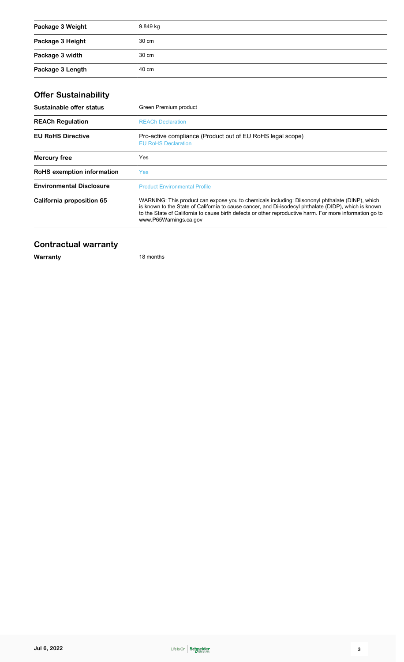| Package 3 Weight | 9.849 kg |
|------------------|----------|
| Package 3 Height | 30 cm    |
| Package 3 width  | 30 cm    |
| Package 3 Length | 40 cm    |

# **Offer Sustainability**

| Sustainable offer status                                                                                                                                                                                                                                                                                                                                                    | Green Premium product                                                                    |  |  |  |
|-----------------------------------------------------------------------------------------------------------------------------------------------------------------------------------------------------------------------------------------------------------------------------------------------------------------------------------------------------------------------------|------------------------------------------------------------------------------------------|--|--|--|
| <b>REACh Regulation</b>                                                                                                                                                                                                                                                                                                                                                     | <b>REACh Declaration</b>                                                                 |  |  |  |
| <b>EU RoHS Directive</b>                                                                                                                                                                                                                                                                                                                                                    | Pro-active compliance (Product out of EU RoHS legal scope)<br><b>EU RoHS Declaration</b> |  |  |  |
| <b>Mercury free</b>                                                                                                                                                                                                                                                                                                                                                         | Yes                                                                                      |  |  |  |
| <b>RoHS</b> exemption information                                                                                                                                                                                                                                                                                                                                           | Yes:                                                                                     |  |  |  |
| <b>Environmental Disclosure</b>                                                                                                                                                                                                                                                                                                                                             | <b>Product Environmental Profile</b>                                                     |  |  |  |
| WARNING: This product can expose you to chemicals including: Diisononyl phthalate (DINP), which<br>California proposition 65<br>is known to the State of California to cause cancer, and Di-isodecyl phthalate (DIDP), which is known<br>to the State of California to cause birth defects or other reproductive harm. For more information go to<br>www.P65Warnings.ca.gov |                                                                                          |  |  |  |

### **Contractual warranty**

**Warranty** 18 months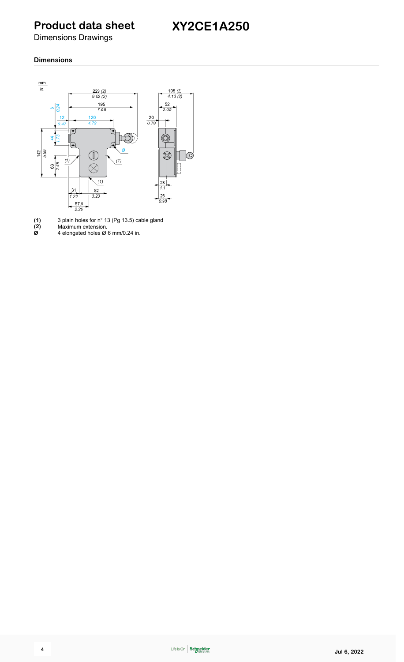# **Product data sheet**

Dimensions Drawings

#### **Dimensions**



**(1)** 3 plain holes for n° 13 (Pg 13.5) cable gland

**(2)** Maximum extension.

**Ø** 4 elongated holes Ø 6 mm/0.24 in.